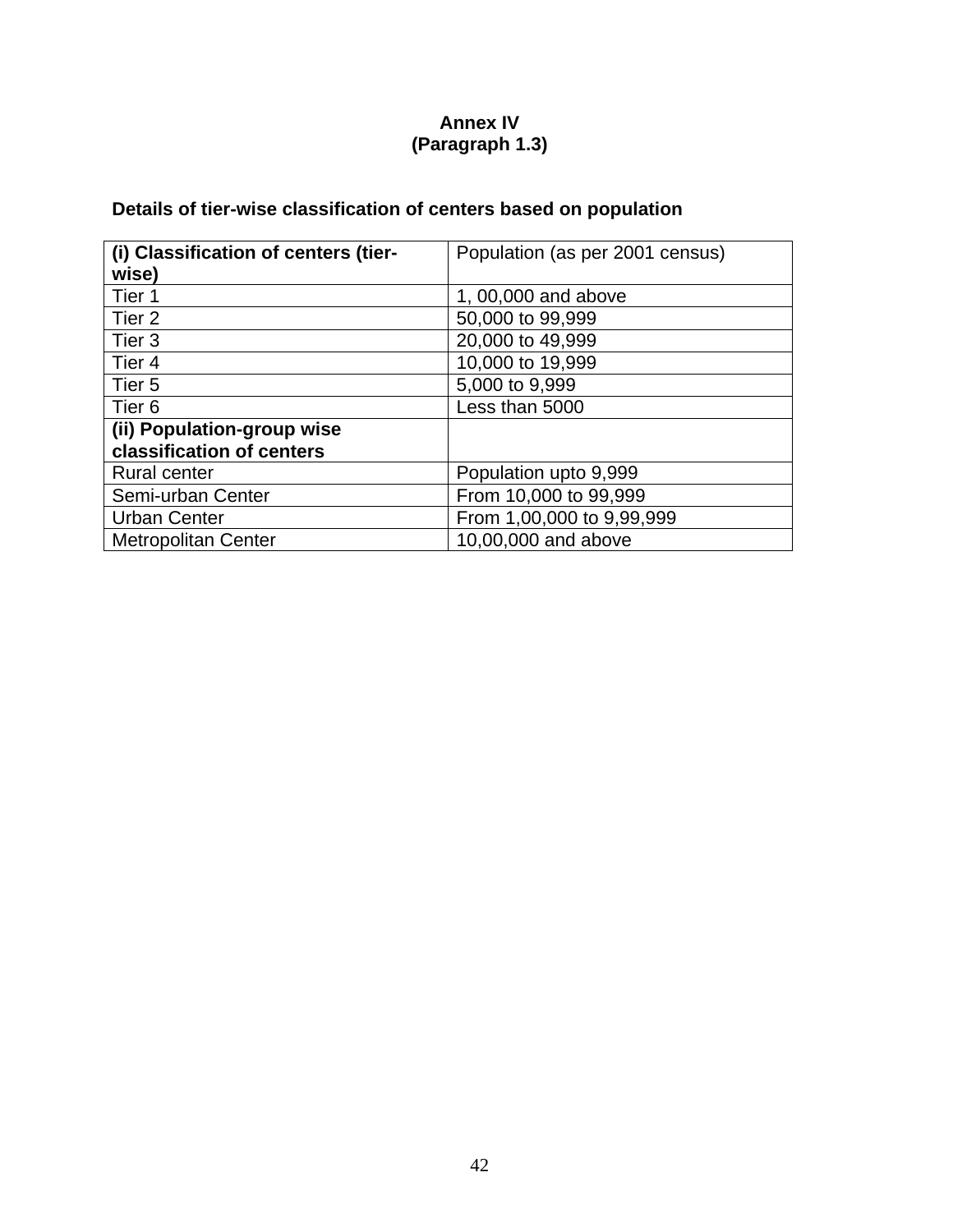# **Annex IV (Paragraph 1.3)**

# **Details of tier-wise classification of centers based on population**

| (i) Classification of centers (tier- | Population (as per 2001 census) |  |  |  |  |  |  |
|--------------------------------------|---------------------------------|--|--|--|--|--|--|
| wise)                                |                                 |  |  |  |  |  |  |
| Tier 1                               | 1, 00,000 and above             |  |  |  |  |  |  |
| Tier 2                               | 50,000 to 99,999                |  |  |  |  |  |  |
| Tier 3                               | 20,000 to 49,999                |  |  |  |  |  |  |
| Tier 4                               | 10,000 to 19,999                |  |  |  |  |  |  |
| Tier 5                               | 5,000 to 9,999                  |  |  |  |  |  |  |
| Tier <sub>6</sub>                    | Less than 5000                  |  |  |  |  |  |  |
| (ii) Population-group wise           |                                 |  |  |  |  |  |  |
| classification of centers            |                                 |  |  |  |  |  |  |
| <b>Rural center</b>                  | Population upto 9,999           |  |  |  |  |  |  |
| Semi-urban Center                    | From 10,000 to 99,999           |  |  |  |  |  |  |
| <b>Urban Center</b>                  | From 1,00,000 to 9,99,999       |  |  |  |  |  |  |
| <b>Metropolitan Center</b>           | 10,00,000 and above             |  |  |  |  |  |  |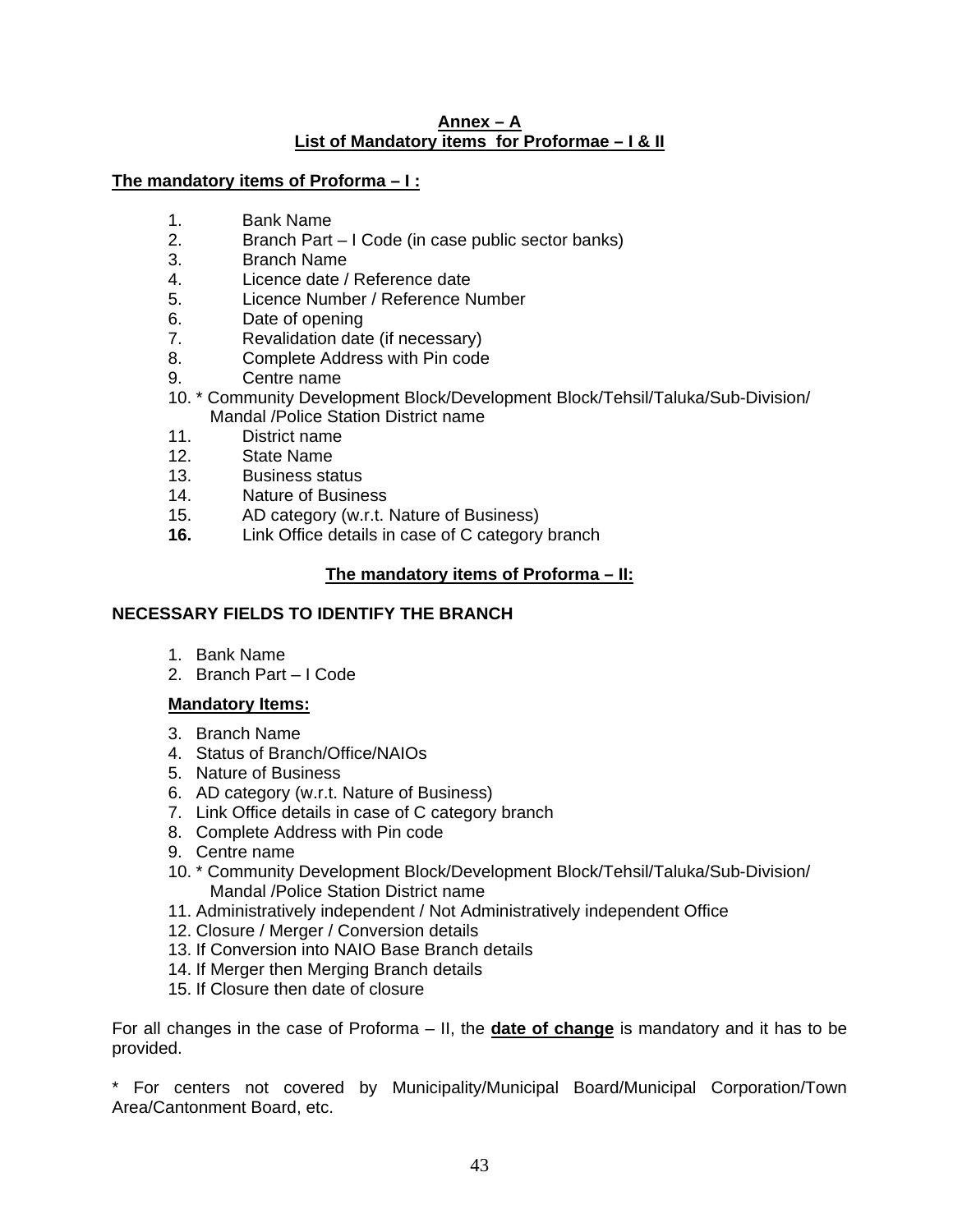#### **Annex – A List of Mandatory items for Proformae – I & II**

### **The mandatory items of Proforma – I :**

- 1. Bank Name
- 2. Branch Part I Code (in case public sector banks)
- 3. Branch Name
- 4. Licence date / Reference date
- 5. Licence Number / Reference Number
- 6. Date of opening
- 7. Revalidation date (if necessary)
- 8. Complete Address with Pin code
- 9. Centre name
- 10. \* Community Development Block/Development Block/Tehsil/Taluka/Sub-Division/ Mandal /Police Station District name
- 11. District name
- 12. State Name
- 13. Business status
- 14. Nature of Business
- 15. AD category (w.r.t. Nature of Business)
- **16.** Link Office details in case of C category branch

# **The mandatory items of Proforma – II:**

# **NECESSARY FIELDS TO IDENTIFY THE BRANCH**

- 1. Bank Name
- 2. Branch Part I Code

### **Mandatory Items:**

- 3. Branch Name
- 4. Status of Branch/Office/NAIOs
- 5. Nature of Business
- 6. AD category (w.r.t. Nature of Business)
- 7. Link Office details in case of C category branch
- 8. Complete Address with Pin code
- 9. Centre name
- 10. \* Community Development Block/Development Block/Tehsil/Taluka/Sub-Division/ Mandal /Police Station District name
- 11. Administratively independent / Not Administratively independent Office
- 12. Closure / Merger / Conversion details
- 13. If Conversion into NAIO Base Branch details
- 14. If Merger then Merging Branch details
- 15. If Closure then date of closure

For all changes in the case of Proforma – II, the **date of change** is mandatory and it has to be provided.

\* For centers not covered by Municipality/Municipal Board/Municipal Corporation/Town Area/Cantonment Board, etc.